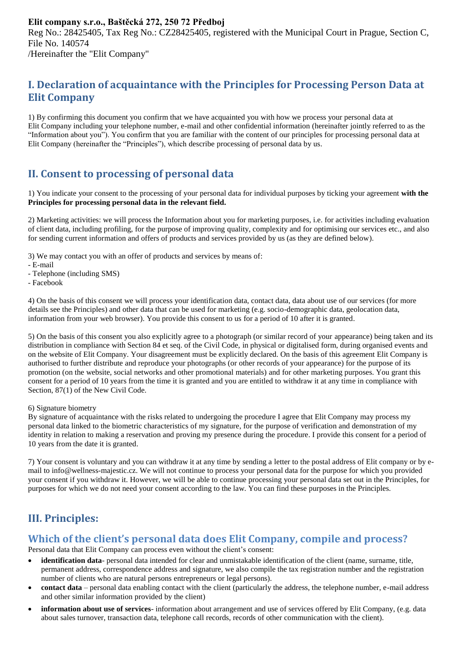#### **Elit company s.r.o., Baštěcká 272, 250 72 Předboj**

Reg No.: 28425405, Tax Reg No.: CZ28425405, registered with the Municipal Court in Prague, Section C, File No. 140574 /Hereinafter the "Elit Company"

# **I. Declaration of acquaintance with the Principles for Processing Person Data at Elit Company**

1) By confirming this document you confirm that we have acquainted you with how we process your personal data at Elit Company including your telephone number, e-mail and other confidential information (hereinafter jointly referred to as the "Information about you"). You confirm that you are familiar with the content of our principles for processing personal data at Elit Company (hereinafter the "Principles"), which describe processing of personal data by us.

## **II. Consent to processing of personal data**

1) You indicate your consent to the processing of your personal data for individual purposes by ticking your agreement **with the Principles for processing personal data in the relevant field.**

2) Marketing activities: we will process the Information about you for marketing purposes, i.e. for activities including evaluation of client data, including profiling, for the purpose of improving quality, complexity and for optimising our services etc., and also for sending current information and offers of products and services provided by us (as they are defined below).

3) We may contact you with an offer of products and services by means of:

- E-mail
- Telephone (including SMS)
- Facebook

4) On the basis of this consent we will process your identification data, contact data, data about use of our services (for more details see the Principles) and other data that can be used for marketing (e.g. socio-demographic data, geolocation data, information from your web browser). You provide this consent to us for a period of 10 after it is granted.

5) On the basis of this consent you also explicitly agree to a photograph (or similar record of your appearance) being taken and its distribution in compliance with Section 84 et seq. of the Civil Code, in physical or digitalised form, during organised events and on the website of Elit Company. Your disagreement must be explicitly declared. On the basis of this agreement Elit Company is authorised to further distribute and reproduce your photographs (or other records of your appearance) for the purpose of its promotion (on the website, social networks and other promotional materials) and for other marketing purposes. You grant this consent for a period of 10 years from the time it is granted and you are entitled to withdraw it at any time in compliance with Section, 87(1) of the New Civil Code.

#### 6) Signature biometry

By signature of acquaintance with the risks related to undergoing the procedure I agree that Elit Company may process my personal data linked to the biometric characteristics of my signature, for the purpose of verification and demonstration of my identity in relation to making a reservation and proving my presence during the procedure. I provide this consent for a period of 10 years from the date it is granted.

7) Your consent is voluntary and you can withdraw it at any time by sending a letter to the postal address of Elit company or by email to info@wellness-majestic.cz. We will not continue to process your personal data for the purpose for which you provided your consent if you withdraw it. However, we will be able to continue processing your personal data set out in the Principles, for purposes for which we do not need your consent according to the law. You can find these purposes in the Principles.

# **III. Principles:**

#### **Which of the client's personal data does Elit Company, compile and process?**

Personal data that Elit Company can process even without the client's consent:

- **identification data** personal data intended for clear and unmistakable identification of the client (name, surname, title, permanent address, correspondence address and signature, we also compile the tax registration number and the registration number of clients who are natural persons entrepreneurs or legal persons).
- **contact data**  personal data enabling contact with the client (particularly the address, the telephone number, e-mail address and other similar information provided by the client)
- **information about use of services** information about arrangement and use of services offered by Elit Company, (e.g. data about sales turnover, transaction data, telephone call records, records of other communication with the client).